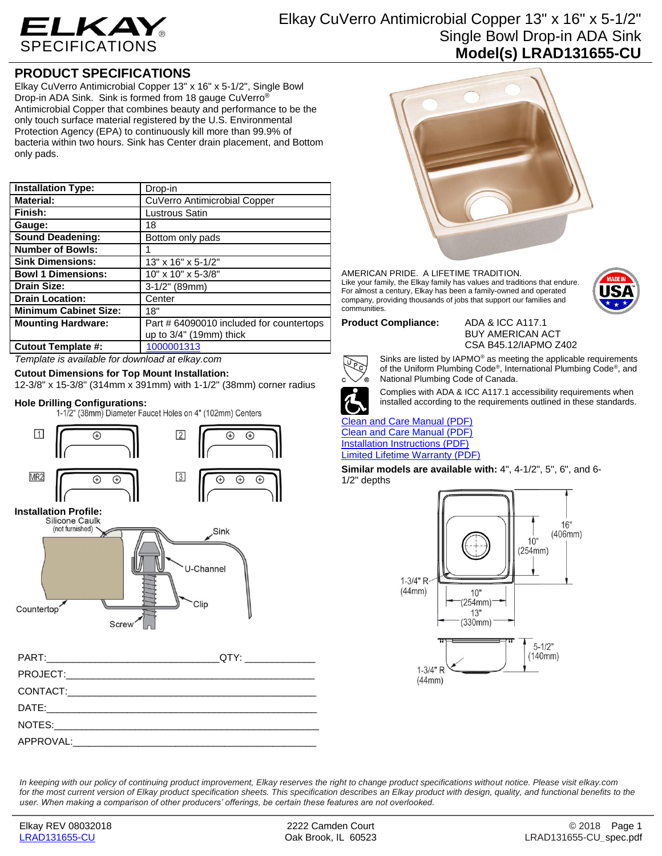

# Elkay CuVerro Antimicrobial Copper 13" x 16" x 5-1/2" Single Bowl Drop-in ADA Sink **Model(s) LRAD131655-CU**

## **PRODUCT SPECIFICATIONS**

Elkay CuVerro Antimicrobial Copper 13" x 16" x 5-1/2", Single Bowl Drop-in ADA Sink. Sink is formed from 18 gauge CuVerro® Antimicrobial Copper that combines beauty and performance to be the only touch surface material registered by the U.S. Environmental Protection Agency (EPA) to continuously kill more than 99.9% of bacteria within two hours. Sink has Center drain placement, and Bottom only pads.

| <b>Installation Type:</b>      | Drop-in                                  |
|--------------------------------|------------------------------------------|
| <b>Material:</b>               | CuVerro Antimicrobial Copper             |
| Finish:                        | Lustrous Satin                           |
| Gauge:                         | 18                                       |
| <b>Sound Deadening:</b>        | Bottom only pads                         |
| <b>Number of Bowls:</b>        |                                          |
| <b>Sink Dimensions:</b>        | 13" x 16" x 5-1/2"                       |
| <b>Bowl 1 Dimensions:</b>      | 10" x 10" x 5-3/8"                       |
| <b>Drain Size:</b>             | $3-1/2$ " (89mm)                         |
| <b>Drain Location:</b>         | Center                                   |
| <b>Minimum Cabinet Size:</b>   | 18"                                      |
| <b>Mounting Hardware:</b>      | Part # 64090010 included for countertops |
|                                | up to 3/4" (19mm) thick                  |
| <b>Cutout Template #:</b><br>. | 1000001313                               |

*Template is available for download at elkay.com*

## **Cutout Dimensions for Top Mount Installation:**

12-3/8" x 15-3/8" (314mm x 391mm) with 1-1/2" (38mm) corner radius

**Hole Drilling Configurations:**





### AMERICAN PRIDE. A LIFETIME TRADITION. Like your family, the Elkay family has values and traditions that endure. For almost a century, Elkay has been a family-owned and operated company, providing thousands of jobs that support our families and communities.



BUY AMERICAN ACT CSA B45.12/IAPMO Z402



Sinks are listed by IAPMO® as meeting the applicable requirements of the Uniform Plumbing Code®, International Plumbing Code®, and National Plumbing Code of Canada.



Complies with ADA & ICC A117.1 accessibility requirements when installed according to the requirements outlined in these standards.

### [Clean and Care Manual \(PDF\)](http://www.elkay.com/wcsstore/lkdocs/care-cleaning-install-warranty-sheets/residential%20and%20commercial%20care%20%20cleaning.pdf) [Clean and Care Manual \(PDF\)](http://www.elkay.com/wcsstore/lkdocs/care-cleaning-install-warranty-sheets/74180724.pdf)

[Installation Instructions \(PDF\)](http://www.elkay.com/wcsstore/lkdocs/care-cleaning-install-warranty-sheets/74180727.pdf) [Limited Lifetime Warranty](http://www.elkay.com/wcsstore/lkdocs/care-cleaning-install-warranty-sheets/residential%20sinks%20warranty.pdf) (PDF)

**Similar models are available with:** 4", 4-1/2", 5", 6", and 6- 1/2" depths



*In keeping with our policy of continuing product improvement, Elkay reserves the right to change product specifications without notice. Please visit elkay.com*  for the most current version of Elkay product specification sheets. This specification describes an Elkay product with design, quality, and functional benefits to the *user. When making a comparison of other producers' offerings, be certain these features are not overlooked.*